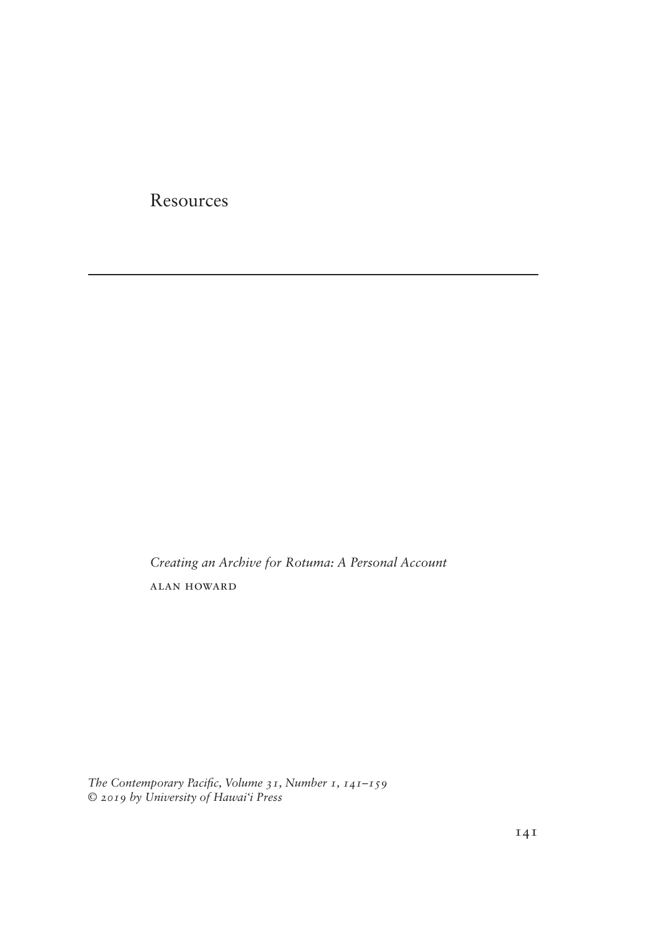**Resources** 

*Creating an Archive for Rotuma: A Personal Account* alan howard

The Contemporary Pacific, Volume 31, Number 1, 141-159 *© 2019 by University of Hawai'i Press*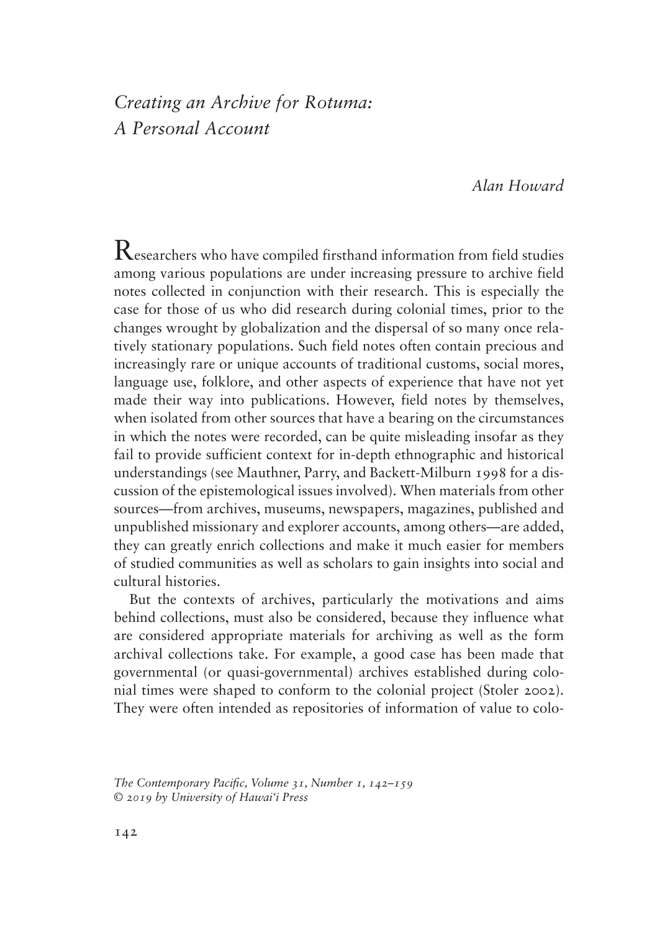# *Creating an Archive for Rotuma: A Personal Account*

## *Alan Howard*

 $\rm\,R$ esearchers who have compiled firsthand information from field studies among various populations are under increasing pressure to archive field notes collected in conjunction with their research. This is especially the case for those of us who did research during colonial times, prior to the changes wrought by globalization and the dispersal of so many once relatively stationary populations. Such field notes often contain precious and increasingly rare or unique accounts of traditional customs, social mores, language use, folklore, and other aspects of experience that have not yet made their way into publications. However, field notes by themselves, when isolated from other sources that have a bearing on the circumstances in which the notes were recorded, can be quite misleading insofar as they fail to provide sufficient context for in-depth ethnographic and historical understandings (see Mauthner, Parry, and Backett-Milburn 1998 for a discussion of the epistemological issues involved). When materials from other sources—from archives, museums, newspapers, magazines, published and unpublished missionary and explorer accounts, among others—are added, they can greatly enrich collections and make it much easier for members of studied communities as well as scholars to gain insights into social and cultural histories.

But the contexts of archives, particularly the motivations and aims behind collections, must also be considered, because they influence what are considered appropriate materials for archiving as well as the form archival collections take. For example, a good case has been made that governmental (or quasi-governmental) archives established during colonial times were shaped to conform to the colonial project (Stoler 2002). They were often intended as repositories of information of value to colo-

The Contemporary Pacific, Volume 31, Number 1, 142–159 *© 2019 by University of Hawai'i Press*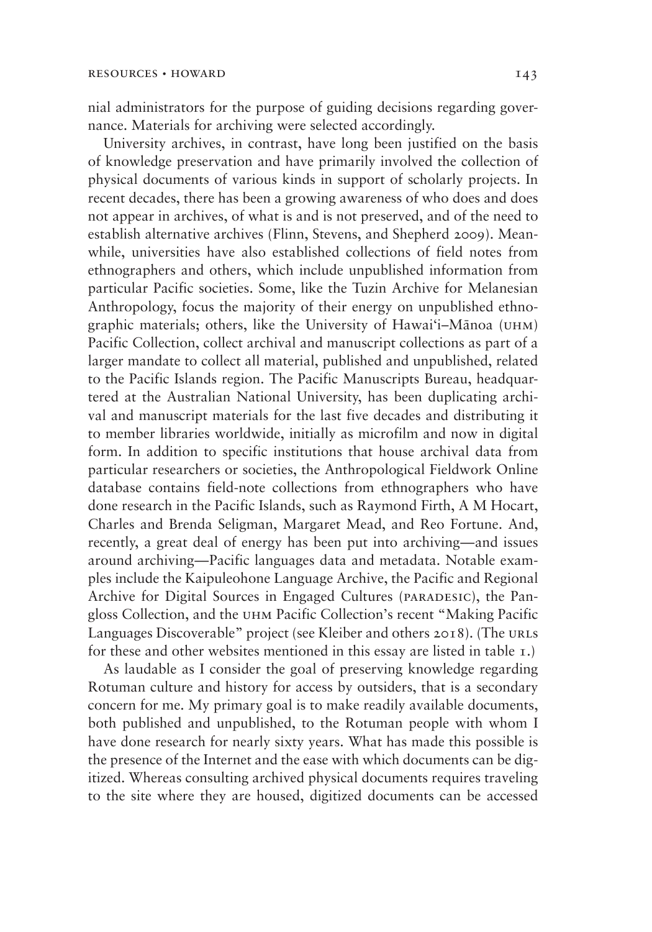nial administrators for the purpose of guiding decisions regarding governance. Materials for archiving were selected accordingly.

University archives, in contrast, have long been justified on the basis of knowledge preservation and have primarily involved the collection of physical documents of various kinds in support of scholarly projects. In recent decades, there has been a growing awareness of who does and does not appear in archives, of what is and is not preserved, and of the need to establish alternative archives (Flinn, Stevens, and Shepherd 2009). Meanwhile, universities have also established collections of field notes from ethnographers and others, which include unpublished information from particular Pacific societies. Some, like the Tuzin Archive for Melanesian Anthropology, focus the majority of their energy on unpublished ethnographic materials; others, like the University of Hawai'i–Mānoa (uhm) Pacific Collection, collect archival and manuscript collections as part of a larger mandate to collect all material, published and unpublished, related to the Pacific Islands region. The Pacific Manuscripts Bureau, headquartered at the Australian National University, has been duplicating archival and manuscript materials for the last five decades and distributing it to member libraries worldwide, initially as microfilm and now in digital form. In addition to specific institutions that house archival data from particular researchers or societies, the Anthropological Fieldwork Online database contains field-note collections from ethnographers who have done research in the Pacific Islands, such as Raymond Firth, A M Hocart, Charles and Brenda Seligman, Margaret Mead, and Reo Fortune. And, recently, a great deal of energy has been put into archiving—and issues around archiving—Pacific languages data and metadata. Notable examples include the Kaipuleohone Language Archive, the Pacific and Regional Archive for Digital Sources in Engaged Cultures (PARADESIC), the Pangloss Collection, and the uhm Pacific Collection's recent "Making Pacific Languages Discoverable" project (see Kleiber and others 2018). (The URLS for these and other websites mentioned in this essay are listed in table 1.)

As laudable as I consider the goal of preserving knowledge regarding Rotuman culture and history for access by outsiders, that is a secondary concern for me. My primary goal is to make readily available documents, both published and unpublished, to the Rotuman people with whom I have done research for nearly sixty years. What has made this possible is the presence of the Internet and the ease with which documents can be digitized. Whereas consulting archived physical documents requires traveling to the site where they are housed, digitized documents can be accessed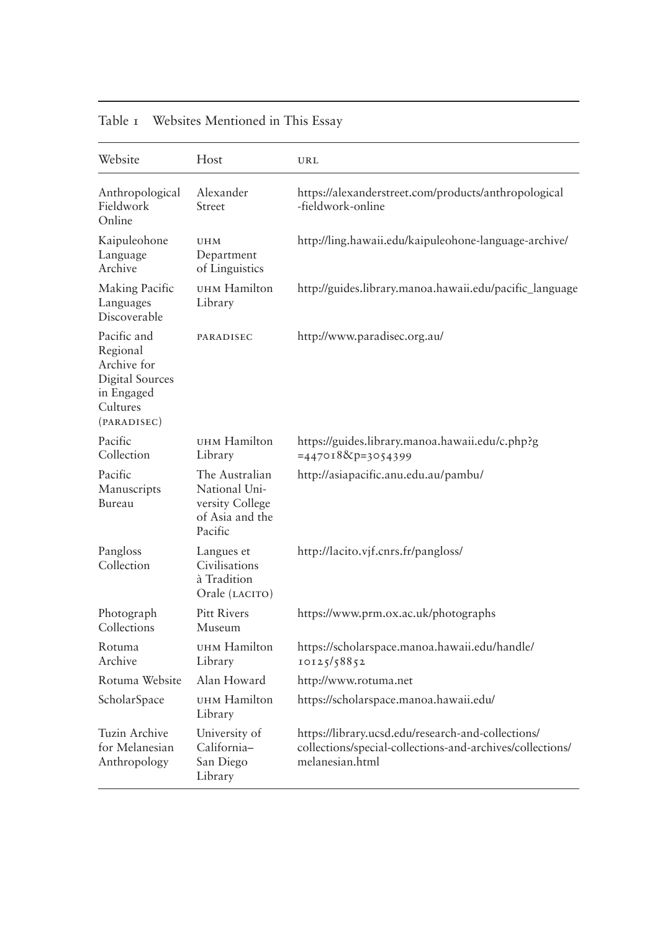| Website                                                                                                   | Host                                                                             | URL                                                                                                                                |
|-----------------------------------------------------------------------------------------------------------|----------------------------------------------------------------------------------|------------------------------------------------------------------------------------------------------------------------------------|
| Anthropological<br>Fieldwork<br>Online                                                                    | Alexander<br>Street                                                              | https://alexanderstreet.com/products/anthropological<br>-fieldwork-online                                                          |
| Kaipuleohone<br>Language<br>Archive                                                                       | <b>UHM</b><br>Department<br>of Linguistics                                       | http://ling.hawaii.edu/kaipuleohone-language-archive/                                                                              |
| Making Pacific<br>Languages<br>Discoverable                                                               | UHM Hamilton<br>Library                                                          | http://guides.library.manoa.hawaii.edu/pacific_language                                                                            |
| Pacific and<br>Regional<br>Archive for<br><b>Digital Sources</b><br>in Engaged<br>Cultures<br>(PARADISEC) | PARADISEC                                                                        | http://www.paradisec.org.au/                                                                                                       |
| Pacific<br>Collection                                                                                     | UHM Hamilton<br>Library                                                          | https://guides.library.manoa.hawaii.edu/c.php?g<br>$=4470188cp=3054399$                                                            |
| Pacific<br>Manuscripts<br>Bureau                                                                          | The Australian<br>National Uni-<br>versity College<br>of Asia and the<br>Pacific | http://asiapacific.anu.edu.au/pambu/                                                                                               |
| Pangloss<br>Collection                                                                                    | Langues et<br>Civilisations<br>à Tradition<br>Orale (LACITO)                     | http://lacito.vjf.cnrs.fr/pangloss/                                                                                                |
| Photograph<br>Collections                                                                                 | <b>Pitt Rivers</b><br>Museum                                                     | https://www.prm.ox.ac.uk/photographs                                                                                               |
| Rotuma<br>Archive                                                                                         | UHM Hamilton<br>Library                                                          | https://scholarspace.manoa.hawaii.edu/handle/<br>10125/58852                                                                       |
| Rotuma Website                                                                                            | Alan Howard                                                                      | http://www.rotuma.net                                                                                                              |
| ScholarSpace                                                                                              | UHM Hamilton<br>Library                                                          | https://scholarspace.manoa.hawaii.edu/                                                                                             |
| Tuzin Archive<br>for Melanesian<br>Anthropology                                                           | University of<br>California-<br>San Diego<br>Library                             | https://library.ucsd.edu/research-and-collections/<br>collections/special-collections-and-archives/collections/<br>melanesian.html |

## Table 1 Websites Mentioned in This Essay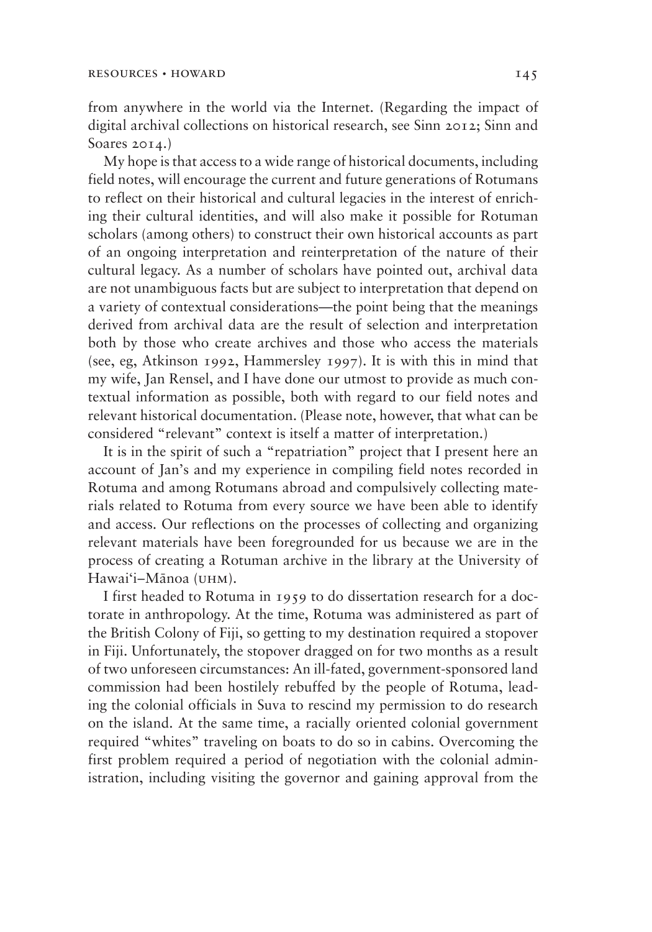from anywhere in the world via the Internet. (Regarding the impact of digital archival collections on historical research, see Sinn 2012; Sinn and Soares 2014.)

My hope is that access to a wide range of historical documents, including field notes, will encourage the current and future generations of Rotumans to reflect on their historical and cultural legacies in the interest of enriching their cultural identities, and will also make it possible for Rotuman scholars (among others) to construct their own historical accounts as part of an ongoing interpretation and reinterpretation of the nature of their cultural legacy. As a number of scholars have pointed out, archival data are not unambiguous facts but are subject to interpretation that depend on a variety of contextual considerations—the point being that the meanings derived from archival data are the result of selection and interpretation both by those who create archives and those who access the materials (see, eg, Atkinson 1992, Hammersley 1997). It is with this in mind that my wife, Jan Rensel, and I have done our utmost to provide as much contextual information as possible, both with regard to our field notes and relevant historical documentation. (Please note, however, that what can be considered "relevant" context is itself a matter of interpretation.)

It is in the spirit of such a "repatriation" project that I present here an account of Jan's and my experience in compiling field notes recorded in Rotuma and among Rotumans abroad and compulsively collecting materials related to Rotuma from every source we have been able to identify and access. Our reflections on the processes of collecting and organizing relevant materials have been foregrounded for us because we are in the process of creating a Rotuman archive in the library at the University of Hawai'i–Mānoa (uhm).

I first headed to Rotuma in 1959 to do dissertation research for a doctorate in anthropology. At the time, Rotuma was administered as part of the British Colony of Fiji, so getting to my destination required a stopover in Fiji. Unfortunately, the stopover dragged on for two months as a result of two unforeseen circumstances: An ill-fated, government-sponsored land commission had been hostilely rebuffed by the people of Rotuma, leading the colonial officials in Suva to rescind my permission to do research on the island. At the same time, a racially oriented colonial government required "whites" traveling on boats to do so in cabins. Overcoming the first problem required a period of negotiation with the colonial administration, including visiting the governor and gaining approval from the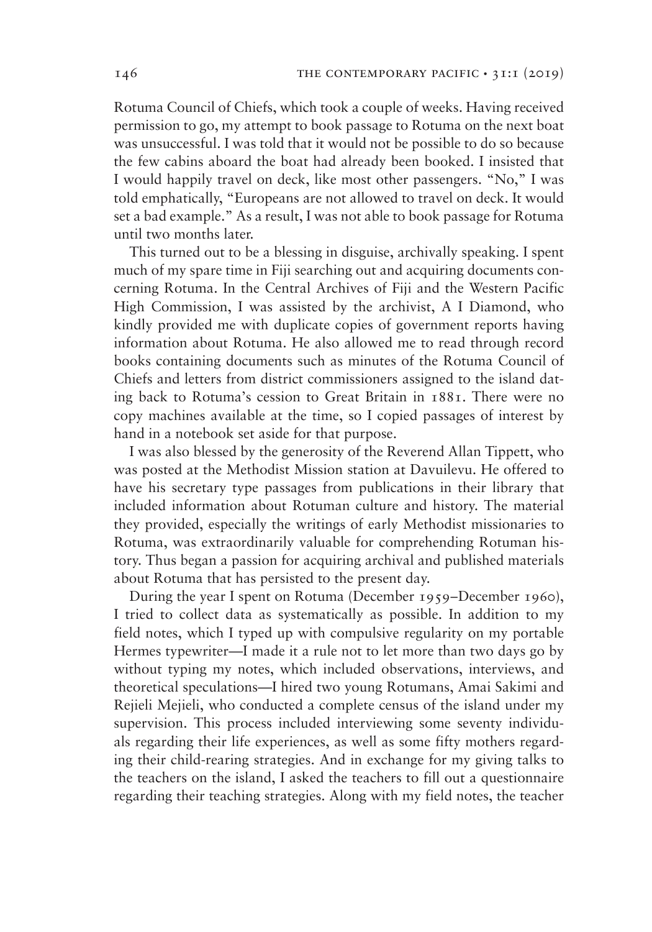Rotuma Council of Chiefs, which took a couple of weeks. Having received permission to go, my attempt to book passage to Rotuma on the next boat was unsuccessful. I was told that it would not be possible to do so because the few cabins aboard the boat had already been booked. I insisted that I would happily travel on deck, like most other passengers. "No," I was told emphatically, "Europeans are not allowed to travel on deck. It would set a bad example." As a result, I was not able to book passage for Rotuma until two months later.

This turned out to be a blessing in disguise, archivally speaking. I spent much of my spare time in Fiji searching out and acquiring documents concerning Rotuma. In the Central Archives of Fiji and the Western Pacific High Commission, I was assisted by the archivist, A I Diamond, who kindly provided me with duplicate copies of government reports having information about Rotuma. He also allowed me to read through record books containing documents such as minutes of the Rotuma Council of Chiefs and letters from district commissioners assigned to the island dating back to Rotuma's cession to Great Britain in 1881. There were no copy machines available at the time, so I copied passages of interest by hand in a notebook set aside for that purpose.

I was also blessed by the generosity of the Reverend Allan Tippett, who was posted at the Methodist Mission station at Davuilevu. He offered to have his secretary type passages from publications in their library that included information about Rotuman culture and history. The material they provided, especially the writings of early Methodist missionaries to Rotuma, was extraordinarily valuable for comprehending Rotuman history. Thus began a passion for acquiring archival and published materials about Rotuma that has persisted to the present day.

During the year I spent on Rotuma (December 1959–December 1960), I tried to collect data as systematically as possible. In addition to my field notes, which I typed up with compulsive regularity on my portable Hermes typewriter—I made it a rule not to let more than two days go by without typing my notes, which included observations, interviews, and theoretical speculations—I hired two young Rotumans, Amai Sakimi and Rejieli Mejieli, who conducted a complete census of the island under my supervision. This process included interviewing some seventy individuals regarding their life experiences, as well as some fifty mothers regarding their child-rearing strategies. And in exchange for my giving talks to the teachers on the island, I asked the teachers to fill out a questionnaire regarding their teaching strategies. Along with my field notes, the teacher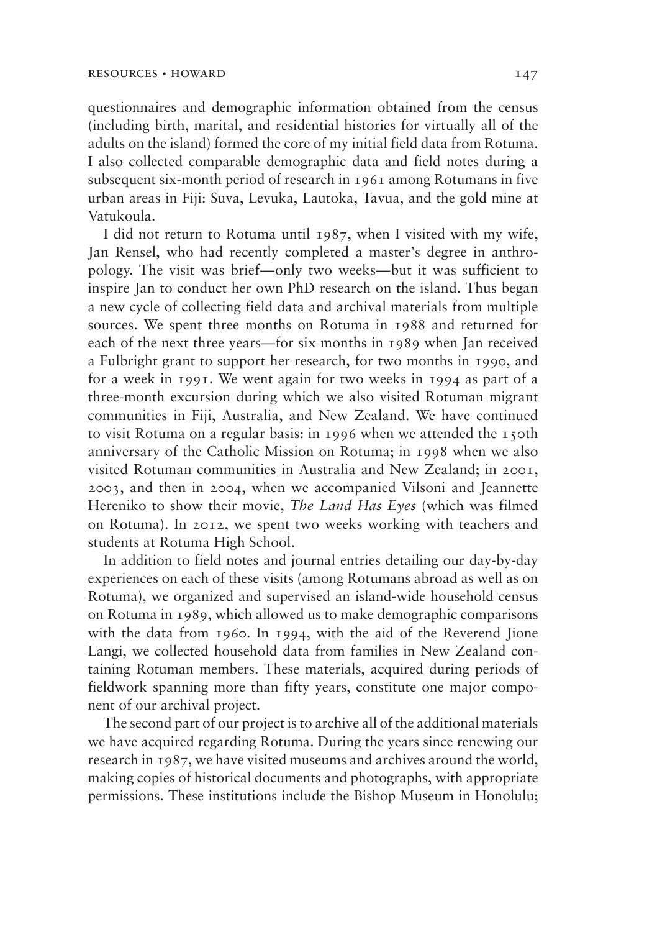questionnaires and demographic information obtained from the census (including birth, marital, and residential histories for virtually all of the adults on the island) formed the core of my initial field data from Rotuma. I also collected comparable demographic data and field notes during a subsequent six-month period of research in 1961 among Rotumans in five urban areas in Fiji: Suva, Levuka, Lautoka, Tavua, and the gold mine at Vatukoula.

I did not return to Rotuma until 1987, when I visited with my wife, Jan Rensel, who had recently completed a master's degree in anthropology. The visit was brief—only two weeks—but it was sufficient to inspire Jan to conduct her own PhD research on the island. Thus began a new cycle of collecting field data and archival materials from multiple sources. We spent three months on Rotuma in 1988 and returned for each of the next three years—for six months in 1989 when Jan received a Fulbright grant to support her research, for two months in 1990, and for a week in 1991. We went again for two weeks in 1994 as part of a three-month excursion during which we also visited Rotuman migrant communities in Fiji, Australia, and New Zealand. We have continued to visit Rotuma on a regular basis: in 1996 when we attended the 150th anniversary of the Catholic Mission on Rotuma; in 1998 when we also visited Rotuman communities in Australia and New Zealand; in 2001, 2003, and then in 2004, when we accompanied Vilsoni and Jeannette Hereniko to show their movie, *The Land Has Eyes* (which was filmed on Rotuma). In 2012, we spent two weeks working with teachers and students at Rotuma High School.

In addition to field notes and journal entries detailing our day-by-day experiences on each of these visits (among Rotumans abroad as well as on Rotuma), we organized and supervised an island-wide household census on Rotuma in 1989, which allowed us to make demographic comparisons with the data from 1960. In 1994, with the aid of the Reverend Jione Langi, we collected household data from families in New Zealand containing Rotuman members. These materials, acquired during periods of fieldwork spanning more than fifty years, constitute one major component of our archival project.

The second part of our project is to archive all of the additional materials we have acquired regarding Rotuma. During the years since renewing our research in 1987, we have visited museums and archives around the world, making copies of historical documents and photographs, with appropriate permissions. These institutions include the Bishop Museum in Honolulu;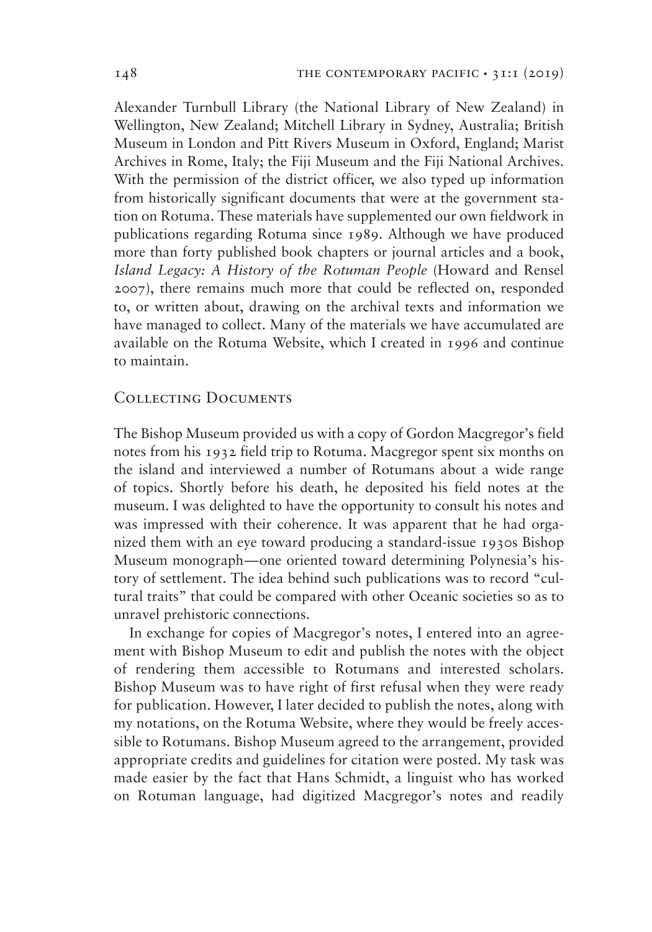Alexander Turnbull Library (the National Library of New Zealand) in Wellington, New Zealand; Mitchell Library in Sydney, Australia; British Museum in London and Pitt Rivers Museum in Oxford, England; Marist Archives in Rome, Italy; the Fiji Museum and the Fiji National Archives. With the permission of the district officer, we also typed up information from historically significant documents that were at the government station on Rotuma. These materials have supplemented our own fieldwork in publications regarding Rotuma since 1989. Although we have produced more than forty published book chapters or journal articles and a book, *Island Legacy: A History of the Rotuman People* (Howard and Rensel 2007), there remains much more that could be reflected on, responded to, or written about, drawing on the archival texts and information we have managed to collect. Many of the materials we have accumulated are available on the Rotuma Website, which I created in 1996 and continue to maintain.

## Collecting Documents

The Bishop Museum provided us with a copy of Gordon Macgregor's field notes from his 1932 field trip to Rotuma. Macgregor spent six months on the island and interviewed a number of Rotumans about a wide range of topics. Shortly before his death, he deposited his field notes at the museum. I was delighted to have the opportunity to consult his notes and was impressed with their coherence. It was apparent that he had organized them with an eye toward producing a standard-issue 1930s Bishop Museum monograph—one oriented toward determining Polynesia's history of settlement. The idea behind such publications was to record "cultural traits" that could be compared with other Oceanic societies so as to unravel prehistoric connections.

In exchange for copies of Macgregor's notes, I entered into an agreement with Bishop Museum to edit and publish the notes with the object of rendering them accessible to Rotumans and interested scholars. Bishop Museum was to have right of first refusal when they were ready for publication. However, I later decided to publish the notes, along with my notations, on the Rotuma Website, where they would be freely accessible to Rotumans. Bishop Museum agreed to the arrangement, provided appropriate credits and guidelines for citation were posted. My task was made easier by the fact that Hans Schmidt, a linguist who has worked on Rotuman language, had digitized Macgregor's notes and readily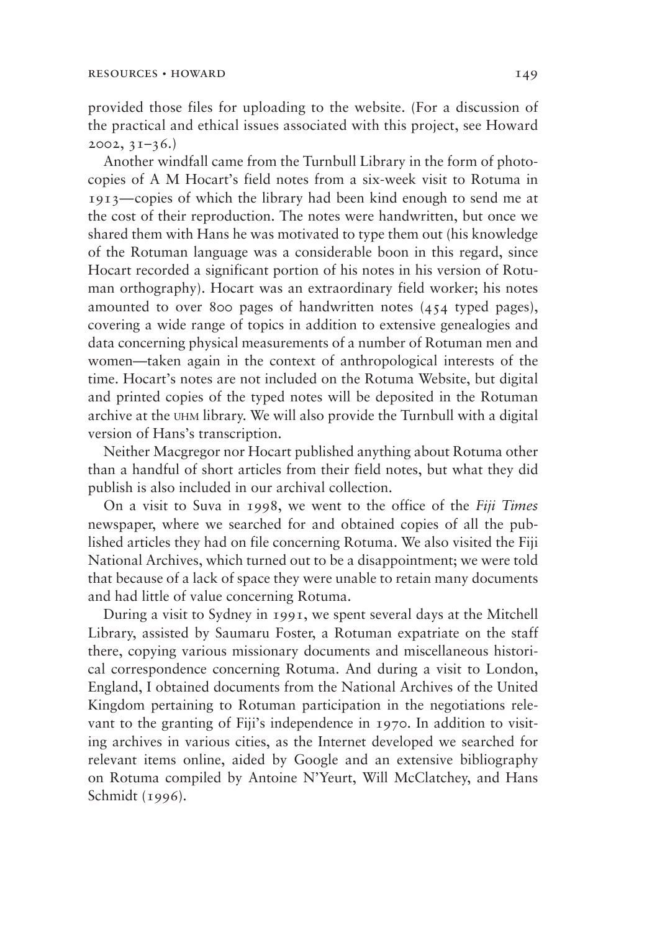provided those files for uploading to the website. (For a discussion of the practical and ethical issues associated with this project, see Howard  $2002, 31-36.$ 

Another windfall came from the Turnbull Library in the form of photocopies of A M Hocart's field notes from a six-week visit to Rotuma in 1913—copies of which the library had been kind enough to send me at the cost of their reproduction. The notes were handwritten, but once we shared them with Hans he was motivated to type them out (his knowledge of the Rotuman language was a considerable boon in this regard, since Hocart recorded a significant portion of his notes in his version of Rotuman orthography). Hocart was an extraordinary field worker; his notes amounted to over 800 pages of handwritten notes (454 typed pages), covering a wide range of topics in addition to extensive genealogies and data concerning physical measurements of a number of Rotuman men and women—taken again in the context of anthropological interests of the time. Hocart's notes are not included on the Rotuma Website, but digital and printed copies of the typed notes will be deposited in the Rotuman archive at the uhm library. We will also provide the Turnbull with a digital version of Hans's transcription.

Neither Macgregor nor Hocart published anything about Rotuma other than a handful of short articles from their field notes, but what they did publish is also included in our archival collection.

On a visit to Suva in 1998, we went to the office of the *Fiji Times* newspaper, where we searched for and obtained copies of all the published articles they had on file concerning Rotuma. We also visited the Fiji National Archives, which turned out to be a disappointment; we were told that because of a lack of space they were unable to retain many documents and had little of value concerning Rotuma.

During a visit to Sydney in 1991, we spent several days at the Mitchell Library, assisted by Saumaru Foster, a Rotuman expatriate on the staff there, copying various missionary documents and miscellaneous historical correspondence concerning Rotuma. And during a visit to London, England, I obtained documents from the National Archives of the United Kingdom pertaining to Rotuman participation in the negotiations relevant to the granting of Fiji's independence in 1970. In addition to visiting archives in various cities, as the Internet developed we searched for relevant items online, aided by Google and an extensive bibliography on Rotuma compiled by Antoine N'Yeurt, Will McClatchey, and Hans Schmidt (1996).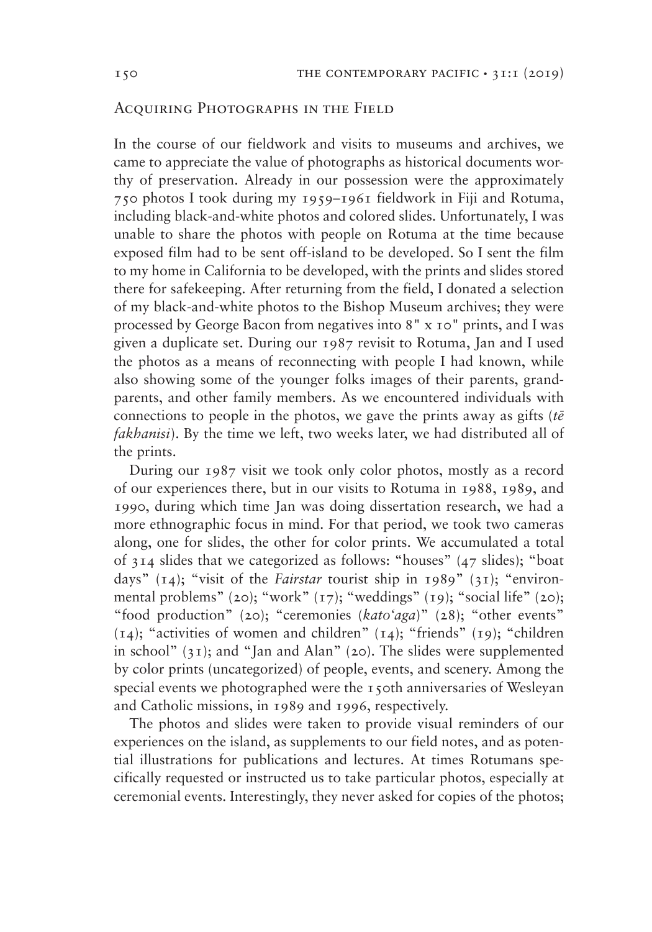### Acquiring Photographs in the Field

In the course of our fieldwork and visits to museums and archives, we came to appreciate the value of photographs as historical documents worthy of preservation. Already in our possession were the approximately 750 photos I took during my 1959–1961 fieldwork in Fiji and Rotuma, including black-and-white photos and colored slides. Unfortunately, I was unable to share the photos with people on Rotuma at the time because exposed film had to be sent off-island to be developed. So I sent the film to my home in California to be developed, with the prints and slides stored there for safekeeping. After returning from the field, I donated a selection of my black-and-white photos to the Bishop Museum archives; they were processed by George Bacon from negatives into 8" x 10" prints, and I was given a duplicate set. During our 1987 revisit to Rotuma, Jan and I used the photos as a means of reconnecting with people I had known, while also showing some of the younger folks images of their parents, grandparents, and other family members. As we encountered individuals with connections to people in the photos, we gave the prints away as gifts (*tē fakhanisi*). By the time we left, two weeks later, we had distributed all of the prints.

During our 1987 visit we took only color photos, mostly as a record of our experiences there, but in our visits to Rotuma in 1988, 1989, and 1990, during which time Jan was doing dissertation research, we had a more ethnographic focus in mind. For that period, we took two cameras along, one for slides, the other for color prints. We accumulated a total of 314 slides that we categorized as follows: "houses" (47 slides); "boat days" (14); "visit of the *Fairstar* tourist ship in 1989" (31); "environmental problems" (20); "work" (17); "weddings" (19); "social life" (20); "food production" (20); "ceremonies (*kato'aga*)" (28); "other events"  $(14)$ ; "activities of women and children"  $(14)$ ; "friends"  $(19)$ ; "children in school" (31); and "Jan and Alan" (20). The slides were supplemented by color prints (uncategorized) of people, events, and scenery. Among the special events we photographed were the 150th anniversaries of Wesleyan and Catholic missions, in 1989 and 1996, respectively.

The photos and slides were taken to provide visual reminders of our experiences on the island, as supplements to our field notes, and as potential illustrations for publications and lectures. At times Rotumans specifically requested or instructed us to take particular photos, especially at ceremonial events. Interestingly, they never asked for copies of the photos;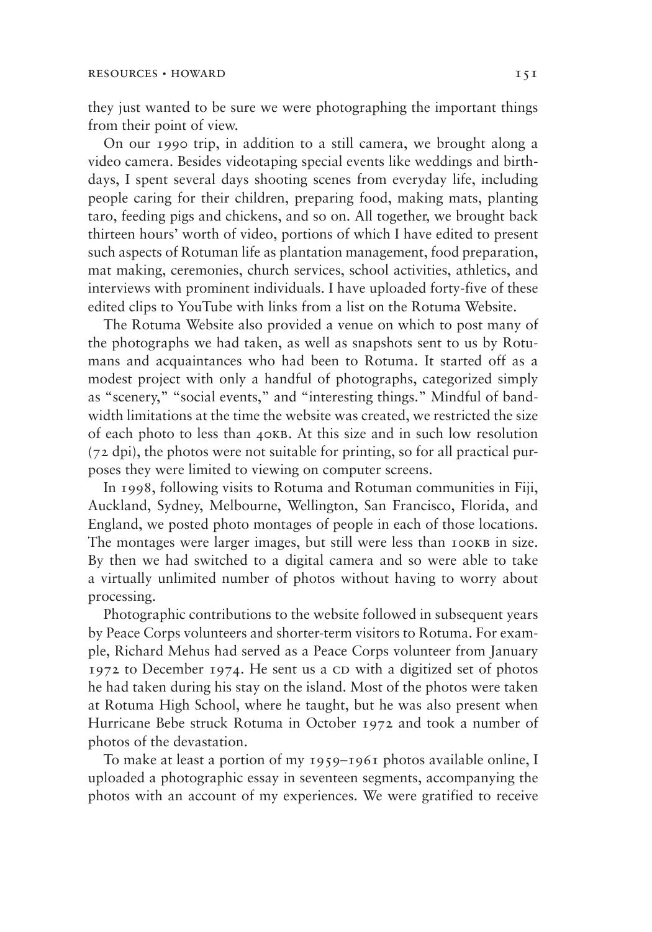they just wanted to be sure we were photographing the important things from their point of view.

On our 1990 trip, in addition to a still camera, we brought along a video camera. Besides videotaping special events like weddings and birthdays, I spent several days shooting scenes from everyday life, including people caring for their children, preparing food, making mats, planting taro, feeding pigs and chickens, and so on. All together, we brought back thirteen hours' worth of video, portions of which I have edited to present such aspects of Rotuman life as plantation management, food preparation, mat making, ceremonies, church services, school activities, athletics, and interviews with prominent individuals. I have uploaded forty-five of these edited clips to YouTube with links from a list on the Rotuma Website.

The Rotuma Website also provided a venue on which to post many of the photographs we had taken, as well as snapshots sent to us by Rotumans and acquaintances who had been to Rotuma. It started off as a modest project with only a handful of photographs, categorized simply as "scenery," "social events," and "interesting things." Mindful of bandwidth limitations at the time the website was created, we restricted the size of each photo to less than 40kb. At this size and in such low resolution (72 dpi), the photos were not suitable for printing, so for all practical purposes they were limited to viewing on computer screens.

In 1998, following visits to Rotuma and Rotuman communities in Fiji, Auckland, Sydney, Melbourne, Wellington, San Francisco, Florida, and England, we posted photo montages of people in each of those locations. The montages were larger images, but still were less than 100KB in size. By then we had switched to a digital camera and so were able to take a virtually unlimited number of photos without having to worry about processing.

Photographic contributions to the website followed in subsequent years by Peace Corps volunteers and shorter-term visitors to Rotuma. For example, Richard Mehus had served as a Peace Corps volunteer from January  $1972$  to December 1974. He sent us a CD with a digitized set of photos he had taken during his stay on the island. Most of the photos were taken at Rotuma High School, where he taught, but he was also present when Hurricane Bebe struck Rotuma in October 1972 and took a number of photos of the devastation.

To make at least a portion of my 1959–1961 photos available online, I uploaded a photographic essay in seventeen segments, accompanying the photos with an account of my experiences. We were gratified to receive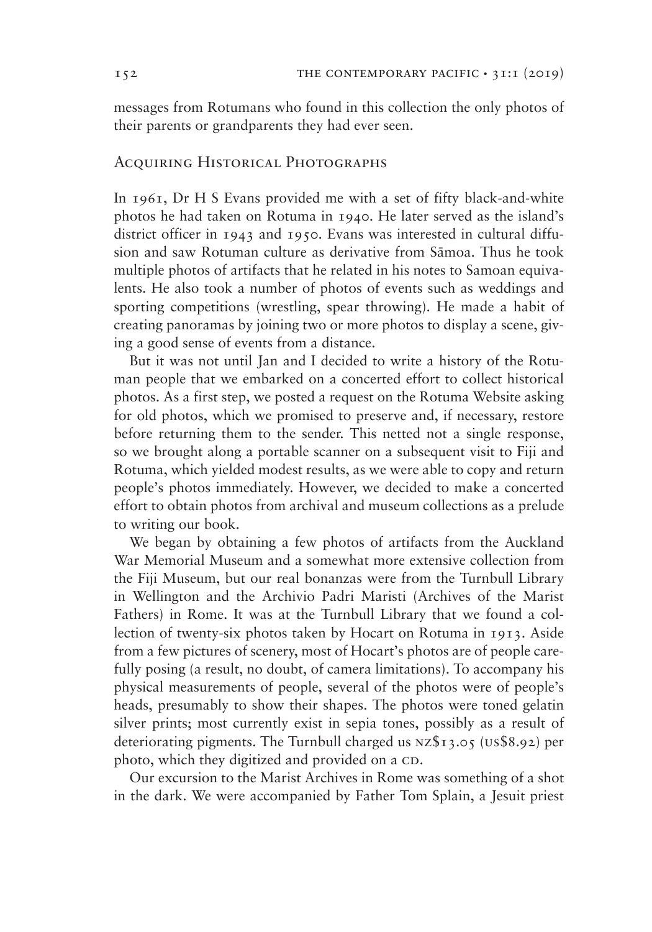messages from Rotumans who found in this collection the only photos of their parents or grandparents they had ever seen.

## Acquiring Historical Photographs

In 1961, Dr H S Evans provided me with a set of fifty black-and-white photos he had taken on Rotuma in 1940. He later served as the island's district officer in 1943 and 1950. Evans was interested in cultural diffusion and saw Rotuman culture as derivative from Sāmoa. Thus he took multiple photos of artifacts that he related in his notes to Samoan equivalents. He also took a number of photos of events such as weddings and sporting competitions (wrestling, spear throwing). He made a habit of creating panoramas by joining two or more photos to display a scene, giving a good sense of events from a distance.

But it was not until Jan and I decided to write a history of the Rotuman people that we embarked on a concerted effort to collect historical photos. As a first step, we posted a request on the Rotuma Website asking for old photos, which we promised to preserve and, if necessary, restore before returning them to the sender. This netted not a single response, so we brought along a portable scanner on a subsequent visit to Fiji and Rotuma, which yielded modest results, as we were able to copy and return people's photos immediately. However, we decided to make a concerted effort to obtain photos from archival and museum collections as a prelude to writing our book.

We began by obtaining a few photos of artifacts from the Auckland War Memorial Museum and a somewhat more extensive collection from the Fiji Museum, but our real bonanzas were from the Turnbull Library in Wellington and the Archivio Padri Maristi (Archives of the Marist Fathers) in Rome. It was at the Turnbull Library that we found a collection of twenty-six photos taken by Hocart on Rotuma in 1913. Aside from a few pictures of scenery, most of Hocart's photos are of people carefully posing (a result, no doubt, of camera limitations). To accompany his physical measurements of people, several of the photos were of people's heads, presumably to show their shapes. The photos were toned gelatin silver prints; most currently exist in sepia tones, possibly as a result of deteriorating pigments. The Turnbull charged us nz\$13.05 (us\$8.92) per photo, which they digitized and provided on a CD.

Our excursion to the Marist Archives in Rome was something of a shot in the dark. We were accompanied by Father Tom Splain, a Jesuit priest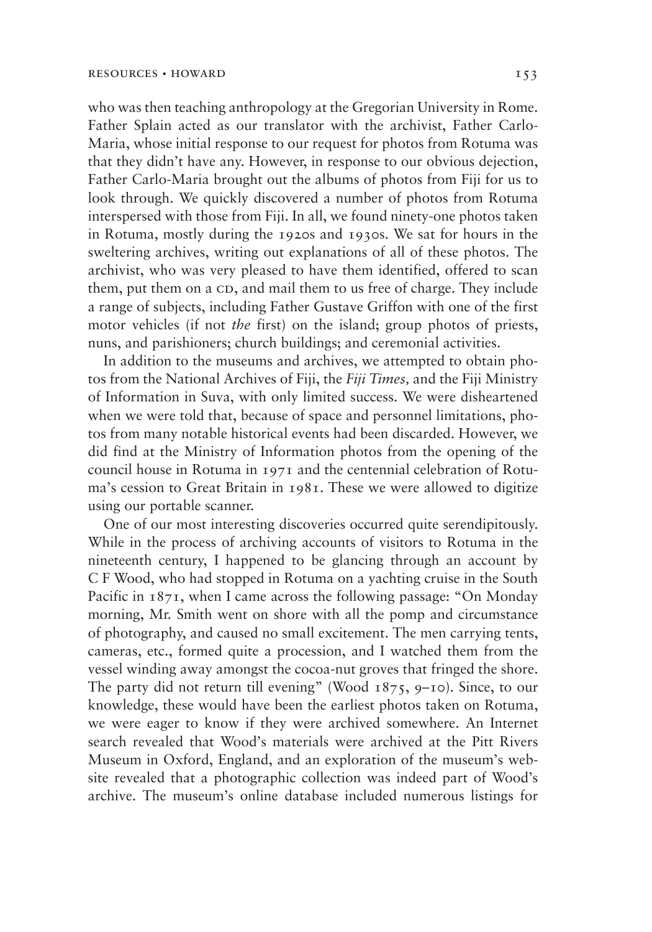who was then teaching anthropology at the Gregorian University in Rome. Father Splain acted as our translator with the archivist, Father Carlo-Maria, whose initial response to our request for photos from Rotuma was that they didn't have any. However, in response to our obvious dejection, Father Carlo-Maria brought out the albums of photos from Fiji for us to look through. We quickly discovered a number of photos from Rotuma interspersed with those from Fiji. In all, we found ninety-one photos taken in Rotuma, mostly during the 1920s and 1930s. We sat for hours in the sweltering archives, writing out explanations of all of these photos. The archivist, who was very pleased to have them identified, offered to scan them, put them on a CD, and mail them to us free of charge. They include a range of subjects, including Father Gustave Griffon with one of the first motor vehicles (if not *the* first) on the island; group photos of priests, nuns, and parishioners; church buildings; and ceremonial activities.

In addition to the museums and archives, we attempted to obtain photos from the National Archives of Fiji, the *Fiji Times,* and the Fiji Ministry of Information in Suva, with only limited success. We were disheartened when we were told that, because of space and personnel limitations, photos from many notable historical events had been discarded. However, we did find at the Ministry of Information photos from the opening of the council house in Rotuma in 1971 and the centennial celebration of Rotuma's cession to Great Britain in 1981. These we were allowed to digitize using our portable scanner.

One of our most interesting discoveries occurred quite serendipitously. While in the process of archiving accounts of visitors to Rotuma in the nineteenth century, I happened to be glancing through an account by C F Wood, who had stopped in Rotuma on a yachting cruise in the South Pacific in 1871, when I came across the following passage: "On Monday morning, Mr. Smith went on shore with all the pomp and circumstance of photography, and caused no small excitement. The men carrying tents, cameras, etc., formed quite a procession, and I watched them from the vessel winding away amongst the cocoa-nut groves that fringed the shore. The party did not return till evening" (Wood 1875, 9–10). Since, to our knowledge, these would have been the earliest photos taken on Rotuma, we were eager to know if they were archived somewhere. An Internet search revealed that Wood's materials were archived at the Pitt Rivers Museum in Oxford, England, and an exploration of the museum's website revealed that a photographic collection was indeed part of Wood's archive. The museum's online database included numerous listings for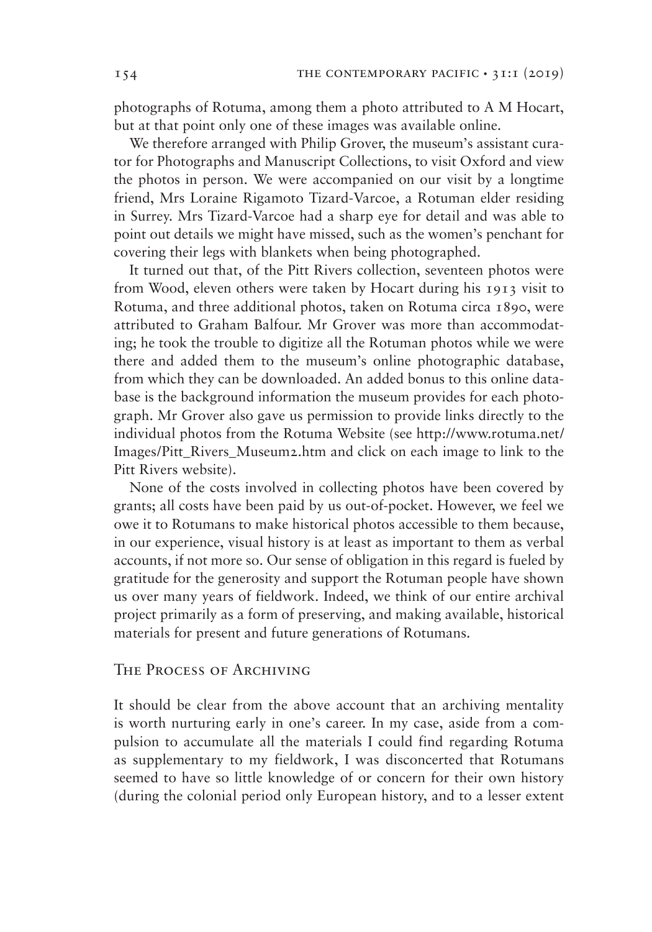photographs of Rotuma, among them a photo attributed to A M Hocart, but at that point only one of these images was available online.

We therefore arranged with Philip Grover, the museum's assistant curator for Photographs and Manuscript Collections, to visit Oxford and view the photos in person. We were accompanied on our visit by a longtime friend, Mrs Loraine Rigamoto Tizard-Varcoe, a Rotuman elder residing in Surrey. Mrs Tizard-Varcoe had a sharp eye for detail and was able to point out details we might have missed, such as the women's penchant for covering their legs with blankets when being photographed.

It turned out that, of the Pitt Rivers collection, seventeen photos were from Wood, eleven others were taken by Hocart during his 1913 visit to Rotuma, and three additional photos, taken on Rotuma circa 1890, were attributed to Graham Balfour. Mr Grover was more than accommodating; he took the trouble to digitize all the Rotuman photos while we were there and added them to the museum's online photographic database, from which they can be downloaded. An added bonus to this online database is the background information the museum provides for each photograph. Mr Grover also gave us permission to provide links directly to the individual photos from the Rotuma Website (see http://www.rotuma.net/ Images/Pitt Rivers Museum2.htm and click on each image to link to the Pitt Rivers website).

None of the costs involved in collecting photos have been covered by grants; all costs have been paid by us out-of-pocket. However, we feel we owe it to Rotumans to make historical photos accessible to them because, in our experience, visual history is at least as important to them as verbal accounts, if not more so. Our sense of obligation in this regard is fueled by gratitude for the generosity and support the Rotuman people have shown us over many years of fieldwork. Indeed, we think of our entire archival project primarily as a form of preserving, and making available, historical materials for present and future generations of Rotumans.

## The Process of Archiving

It should be clear from the above account that an archiving mentality is worth nurturing early in one's career. In my case, aside from a compulsion to accumulate all the materials I could find regarding Rotuma as supplementary to my fieldwork, I was disconcerted that Rotumans seemed to have so little knowledge of or concern for their own history (during the colonial period only European history, and to a lesser extent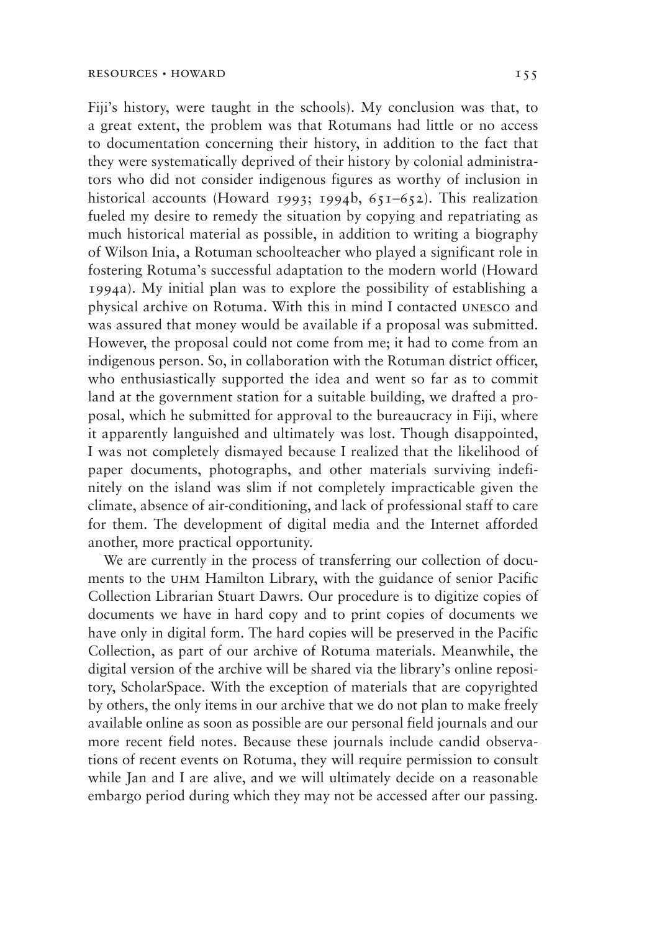Fiji's history, were taught in the schools). My conclusion was that, to a great extent, the problem was that Rotumans had little or no access to documentation concerning their history, in addition to the fact that they were systematically deprived of their history by colonial administrators who did not consider indigenous figures as worthy of inclusion in historical accounts (Howard 1993; 1994b,  $651-652$ ). This realization fueled my desire to remedy the situation by copying and repatriating as much historical material as possible, in addition to writing a biography of Wilson Inia, a Rotuman schoolteacher who played a significant role in fostering Rotuma's successful adaptation to the modern world (Howard 1994a). My initial plan was to explore the possibility of establishing a physical archive on Rotuma. With this in mind I contacted unesco and was assured that money would be available if a proposal was submitted. However, the proposal could not come from me; it had to come from an indigenous person. So, in collaboration with the Rotuman district officer, who enthusiastically supported the idea and went so far as to commit land at the government station for a suitable building, we drafted a proposal, which he submitted for approval to the bureaucracy in Fiji, where it apparently languished and ultimately was lost. Though disappointed, I was not completely dismayed because I realized that the likelihood of paper documents, photographs, and other materials surviving indefinitely on the island was slim if not completely impracticable given the climate, absence of air-conditioning, and lack of professional staff to care for them. The development of digital media and the Internet afforded another, more practical opportunity.

We are currently in the process of transferring our collection of documents to the uhm Hamilton Library, with the guidance of senior Pacific Collection Librarian Stuart Dawrs. Our procedure is to digitize copies of documents we have in hard copy and to print copies of documents we have only in digital form. The hard copies will be preserved in the Pacific Collection, as part of our archive of Rotuma materials. Meanwhile, the digital version of the archive will be shared via the library's online repository, ScholarSpace. With the exception of materials that are copyrighted by others, the only items in our archive that we do not plan to make freely available online as soon as possible are our personal field journals and our more recent field notes. Because these journals include candid observations of recent events on Rotuma, they will require permission to consult while Jan and I are alive, and we will ultimately decide on a reasonable embargo period during which they may not be accessed after our passing.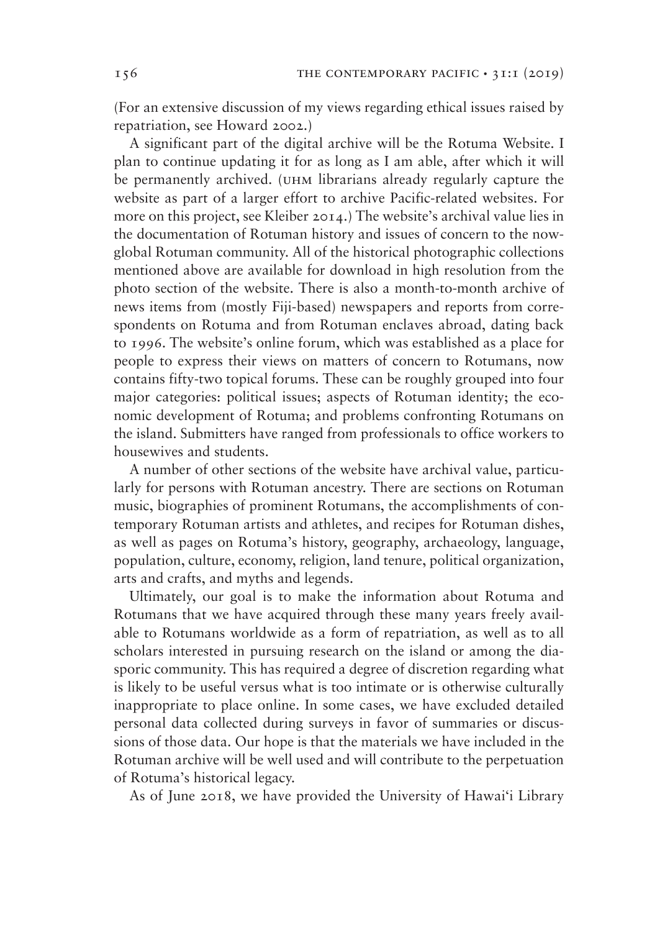(For an extensive discussion of my views regarding ethical issues raised by repatriation, see Howard 2002.)

A significant part of the digital archive will be the Rotuma Website. I plan to continue updating it for as long as I am able, after which it will be permanently archived. (uhm librarians already regularly capture the website as part of a larger effort to archive Pacific-related websites. For more on this project, see Kleiber 2014.) The website's archival value lies in the documentation of Rotuman history and issues of concern to the nowglobal Rotuman community. All of the historical photographic collections mentioned above are available for download in high resolution from the photo section of the website. There is also a month-to-month archive of news items from (mostly Fiji-based) newspapers and reports from correspondents on Rotuma and from Rotuman enclaves abroad, dating back to 1996. The website's online forum, which was established as a place for people to express their views on matters of concern to Rotumans, now contains fifty-two topical forums. These can be roughly grouped into four major categories: political issues; aspects of Rotuman identity; the economic development of Rotuma; and problems confronting Rotumans on the island. Submitters have ranged from professionals to office workers to housewives and students.

A number of other sections of the website have archival value, particularly for persons with Rotuman ancestry. There are sections on Rotuman music, biographies of prominent Rotumans, the accomplishments of contemporary Rotuman artists and athletes, and recipes for Rotuman dishes, as well as pages on Rotuma's history, geography, archaeology, language, population, culture, economy, religion, land tenure, political organization, arts and crafts, and myths and legends.

Ultimately, our goal is to make the information about Rotuma and Rotumans that we have acquired through these many years freely available to Rotumans worldwide as a form of repatriation, as well as to all scholars interested in pursuing research on the island or among the diasporic community. This has required a degree of discretion regarding what is likely to be useful versus what is too intimate or is otherwise culturally inappropriate to place online. In some cases, we have excluded detailed personal data collected during surveys in favor of summaries or discussions of those data. Our hope is that the materials we have included in the Rotuman archive will be well used and will contribute to the perpetuation of Rotuma's historical legacy.

As of June 2018, we have provided the University of Hawai'i Library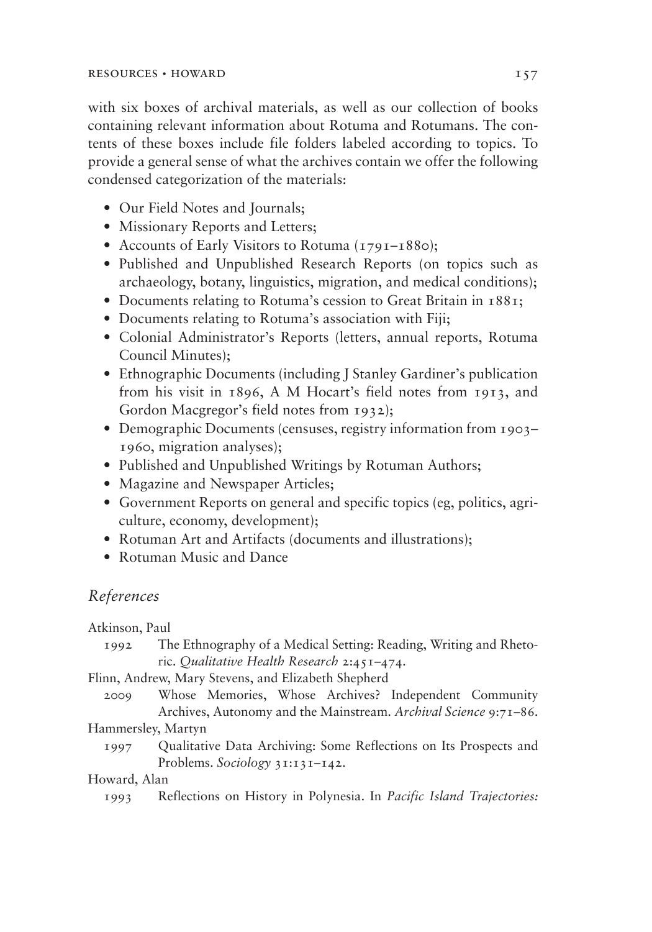with six boxes of archival materials, as well as our collection of books containing relevant information about Rotuma and Rotumans. The contents of these boxes include file folders labeled according to topics. To provide a general sense of what the archives contain we offer the following condensed categorization of the materials:

- Our Field Notes and Journals;
- Missionary Reports and Letters;
- Accounts of Early Visitors to Rotuma (1791–1880);
- Published and Unpublished Research Reports (on topics such as archaeology, botany, linguistics, migration, and medical conditions);
- Documents relating to Rotuma's cession to Great Britain in 1881;
- Documents relating to Rotuma's association with Fiji;
- Colonial Administrator's Reports (letters, annual reports, Rotuma Council Minutes);
- Ethnographic Documents (including J Stanley Gardiner's publication from his visit in 1896, A M Hocart's field notes from 1913, and Gordon Macgregor's field notes from 1932);
- Demographic Documents (censuses, registry information from 1903– 1960, migration analyses);
- Published and Unpublished Writings by Rotuman Authors;
- Magazine and Newspaper Articles;
- Government Reports on general and specific topics (eg, politics, agriculture, economy, development);
- Rotuman Art and Artifacts (documents and illustrations);
- Rotuman Music and Dance

# *References*

Atkinson, Paul

1992 The Ethnography of a Medical Setting: Reading, Writing and Rhetoric. *Qualitative Health Research* 2:451–474.

Flinn, Andrew, Mary Stevens, and Elizabeth Shepherd

2009 Whose Memories, Whose Archives? Independent Community Archives, Autonomy and the Mainstream. *Archival Science* 9:71–86.

## Hammersley, Martyn

1997 Qualitative Data Archiving: Some Reflections on Its Prospects and Problems. *Sociology* 31:131–142.

## Howard, Alan

1993 Reflections on History in Polynesia. In *Pacific Island Trajectories:*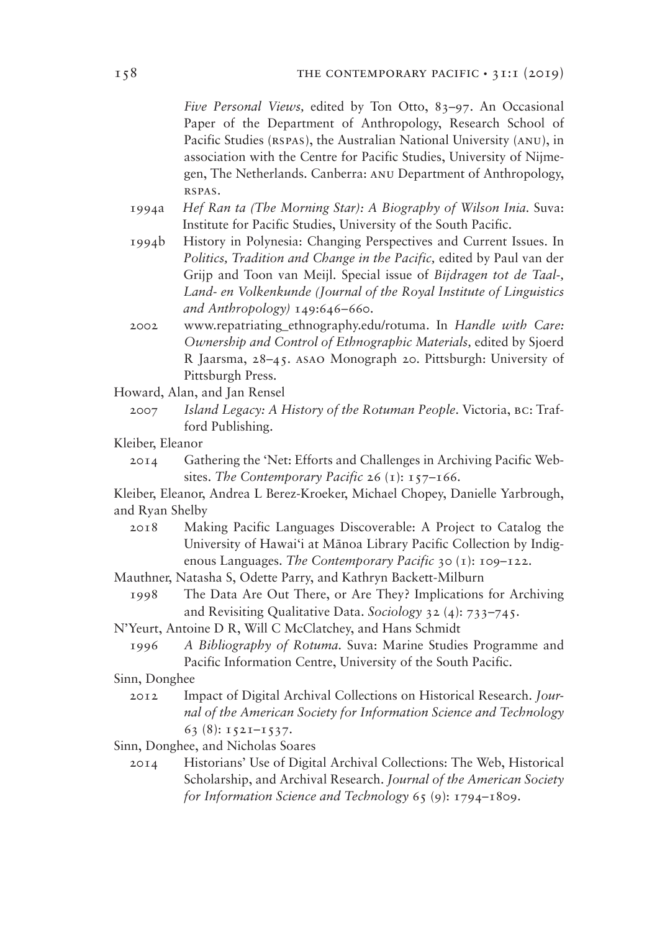*Five Personal Views,* edited by Ton Otto, 83–97. An Occasional Paper of the Department of Anthropology, Research School of Pacific Studies (RSPAS), the Australian National University (ANU), in association with the Centre for Pacific Studies, University of Nijmegen, The Netherlands. Canberra: anu Department of Anthropology, rspas.

- 1994a *Hef Ran ta (The Morning Star): A Biography of Wilson Inia.* Suva: Institute for Pacific Studies, University of the South Pacific.
- 1994b History in Polynesia: Changing Perspectives and Current Issues. In *Politics, Tradition and Change in the Pacific,* edited by Paul van der Grijp and Toon van Meijl. Special issue of *Bijdragen tot de Taal-, Land- en Volkenkunde (Journal of the Royal Institute of Linguistics and Anthropology)* 149:646–660.
- 2002 www.repatriating\_ethnography.edu/rotuma. In *Handle with Care: Ownership and Control of Ethnographic Materials,* edited by Sjoerd R Jaarsma, 28–45. asao Monograph 20. Pittsburgh: University of Pittsburgh Press.

Howard, Alan, and Jan Rensel

- 2007 *Island Legacy: A History of the Rotuman People*. Victoria, bc: Trafford Publishing.
- Kleiber, Eleanor
	- 2014 Gathering the 'Net: Efforts and Challenges in Archiving Pacific Websites. *The Contemporary Pacific* 26 (1): 157–166.

Kleiber, Eleanor, Andrea L Berez-Kroeker, Michael Chopey, Danielle Yarbrough, and Ryan Shelby

- 2018 Making Pacific Languages Discoverable: A Project to Catalog the University of Hawai'i at Mānoa Library Pacific Collection by Indigenous Languages. *The Contemporary Pacific* 30 (1): 109–122.
- Mauthner, Natasha S, Odette Parry, and Kathryn Backett-Milburn
	- 1998 The Data Are Out There, or Are They? Implications for Archiving and Revisiting Qualitative Data. *Sociology* 32 (4): 733–745.

N'Yeurt, Antoine D R, Will C McClatchey, and Hans Schmidt

1996 *A Bibliography of Rotuma.* Suva: Marine Studies Programme and Pacific Information Centre, University of the South Pacific.

Sinn, Donghee

- 2012 Impact of Digital Archival Collections on Historical Research. *Journal of the American Society for Information Science and Technology* 63 (8): 1521–1537.
- Sinn, Donghee, and Nicholas Soares
	- 2014 Historians' Use of Digital Archival Collections: The Web, Historical Scholarship, and Archival Research. *Journal of the American Society for Information Science and Technology* 65 (9): 1794–1809.